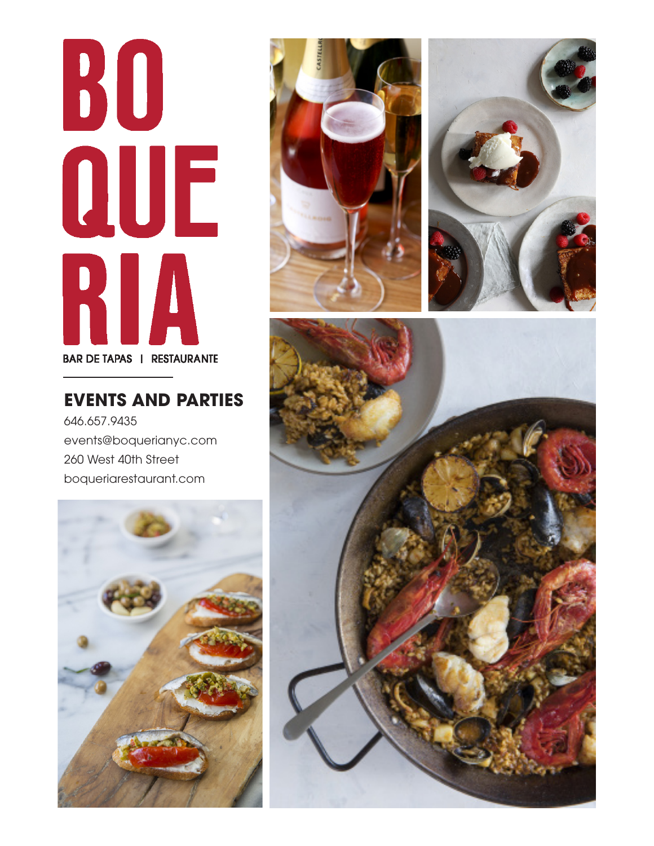# 30 QUE RIA **BAR DE TAPAS | RESTAURANTE**

# **EVENTS AND PARTIES**

646.657.9435 events@boquerianyc.com 260 West 40th Street boqueriarestaurant.com







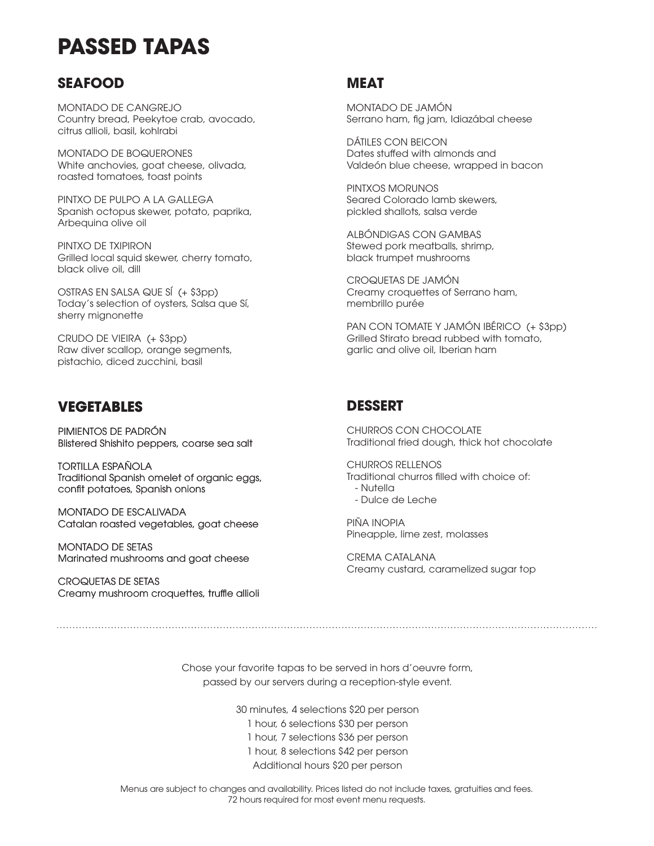# **PASSED TAPAS**

### **SEAFOOD**

MONTADO DE CANGREJO Country bread, Peekytoe crab, avocado, citrus allioli, basil, kohlrabi

MONTADO DE BOQUERONES White anchovies, goat cheese, olivada, roasted tomatoes, toast points

PINTXO DE PULPO A LA GALLEGA Spanish octopus skewer, potato, paprika, Arbequina olive oil

PINTXO DE TXIPIRON Grilled local squid skewer, cherry tomato, black olive oil, dill

OSTRAS EN SALSA QUE SÍ (+ \$3pp) Today's selection of oysters, Salsa que Sí, sherry mignonette

CRUDO DE VIEIRA (+ \$3pp) Raw diver scallop, orange segments, pistachio, diced zucchini, basil

### **VEGETABLES**

PIMIENTOS DE PADRÓN Blistered Shishito peppers, coarse sea salt

TORTILLA ESPAÑOLA Traditional Spanish omelet of organic eggs, confit potatoes, Spanish onions

MONTADO DE ESCALIVADA Catalan roasted vegetables, goat cheese

MONTADO DE SETAS Marinated mushrooms and goat cheese

CROQUETAS DE SETAS Creamy mushroom croquettes, truffle allioli

### **MEAT**

MONTADO DE JAMÓN Serrano ham, fig jam, Idiazábal cheese

DÁTILES CON BEICON Dates stuffed with almonds and Valdeón blue cheese, wrapped in bacon

PINTXOS MORUNOS Seared Colorado lamb skewers, pickled shallots, salsa verde

ALBÓNDIGAS CON GAMBAS Stewed pork meatballs, shrimp, black trumpet mushrooms

CROQUETAS DE JAMÓN Creamy croquettes of Serrano ham, membrillo purée

PAN CON TOMATE Y JAMÓN IBÉRICO (+ \$3pp) Grilled Stirato bread rubbed with tomato, garlic and olive oil, Iberian ham

### **DESSERT**

CHURROS CON CHOCOLATE Traditional fried dough, thick hot chocolate

CHURROS RELLENOS Traditional churros filled with choice of: - Nutella - Dulce de Leche

PIÑA INOPIA Pineapple, lime zest, molasses

CREMA CATALANA Creamy custard, caramelized sugar top

Chose your favorite tapas to be served in hors d'oeuvre form, passed by our servers during a reception-style event.

30 minutes, 4 selections \$20 per person

1 hour, 6 selections \$30 per person

1 hour, 7 selections \$36 per person

1 hour, 8 selections \$42 per person

Additional hours \$20 per person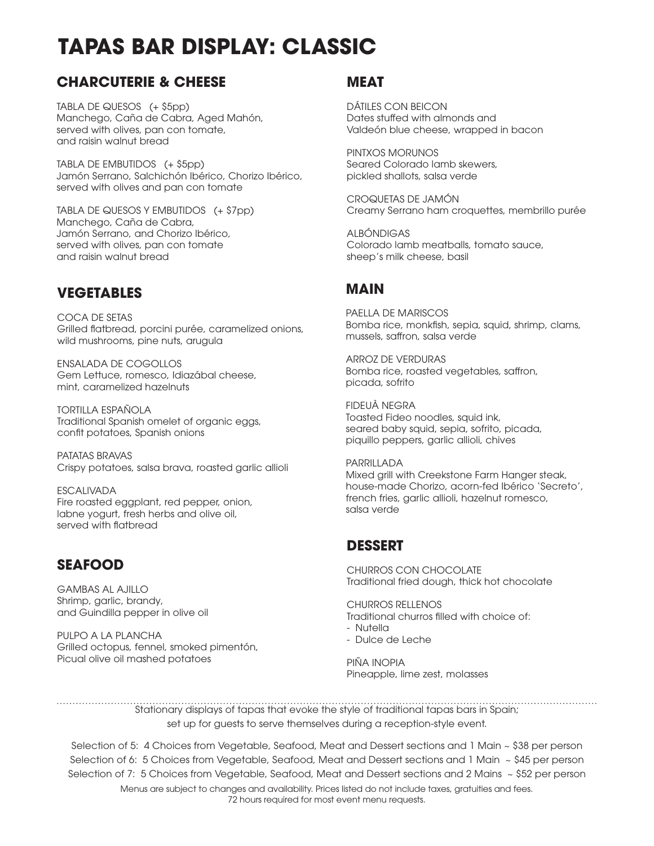# **TAPAS BAR DISPLAY: CLASSIC**

## **CHARCUTERIE & CHEESE**

TABLA DE QUESOS (+ \$5pp) Manchego, Caña de Cabra, Aged Mahón, served with olives, pan con tomate, and raisin walnut bread

TABLA DE EMBUTIDOS (+ \$5pp) Jamón Serrano, Salchichón Ibérico, Chorizo Ibérico, served with olives and pan con tomate

TABLA DE QUESOS Y EMBUTIDOS (+ \$7pp) Manchego, Caña de Cabra, Jamón Serrano, and Chorizo Ibérico, served with olives, pan con tomate and raisin walnut bread

### **VEGETABLES**

COCA DE SETAS Grilled flatbread, porcini purée, caramelized onions, wild mushrooms, pine nuts, arugula

ENSALADA DE COGOLLOS Gem Lettuce, romesco, Idiazábal cheese, mint, caramelized hazelnuts

TORTILLA ESPAÑOLA Traditional Spanish omelet of organic eggs, confit potatoes, Spanish onions

PATATAS BRAVAS Crispy potatoes, salsa brava, roasted garlic allioli

ESCALIVADA Fire roasted eggplant, red pepper, onion, labne yogurt, fresh herbs and olive oil, served with flatbread

## **SEAFOOD**

GAMBAS AL AJILLO Shrimp, garlic, brandy, and Guindilla pepper in olive oil

PULPO A LA PLANCHA Grilled octopus, fennel, smoked pimentón, Picual olive oil mashed potatoes

### **MEAT**

DÁTILES CON BEICON Dates stuffed with almonds and Valdeón blue cheese, wrapped in bacon

PINTXOS MORUNOS Seared Colorado lamb skewers, pickled shallots, salsa verde

CROQUETAS DE JAMÓN Creamy Serrano ham croquettes, membrillo purée

ALBÓNDIGAS Colorado lamb meatballs, tomato sauce, sheep's milk cheese, basil

### **MAIN**

PAELLA DE MARISCOS Bomba rice, monkfish, sepia, squid, shrimp, clams, mussels, saffron, salsa verde

ARROZ DE VERDURAS Bomba rice, roasted vegetables, saffron, picada, sofrito

FIDEUÀ NEGRA Toasted Fideo noodles, squid ink, seared baby squid, sepia, sofrito, picada, piquillo peppers, garlic allioli, chives

PARRILLADA Mixed grill with Creekstone Farm Hanger steak, house-made Chorizo, acorn-fed Ibérico 'Secreto', french fries, garlic allioli, hazelnut romesco, salsa verde

### **DESSERT**

CHURROS CON CHOCOLATE Traditional fried dough, thick hot chocolate

CHURROS RELLENOS Traditional churros filled with choice of: - Nutella

- Dulce de Leche

PIÑA INOPIA Pineapple, lime zest, molasses

Stationary displays of tapas that evoke the style of traditional tapas bars in Spain; set up for guests to serve themselves during a reception-style event.

Selection of 5: 4 Choices from Vegetable, Seafood, Meat and Dessert sections and 1 Main ~ \$38 per person Selection of 6: 5 Choices from Vegetable, Seafood, Meat and Dessert sections and 1 Main ~ \$45 per person Selection of 7: 5 Choices from Vegetable, Seafood, Meat and Dessert sections and 2 Mains  $\sim$  \$52 per person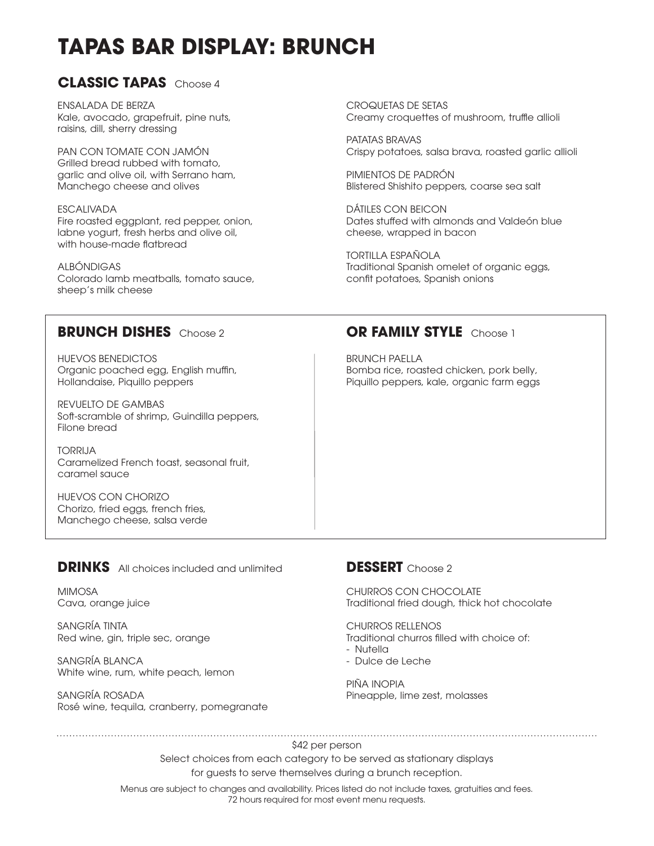# **TAPAS BAR DISPLAY: BRUNCH**

### **CLASSIC TAPAS** Choose 4

ENSALADA DE BERZA Kale, avocado, grapefruit, pine nuts, raisins, dill, sherry dressing

PAN CON TOMATE CON JAMÓN Grilled bread rubbed with tomato, garlic and olive oil, with Serrano ham, Manchego cheese and olives

ESCALIVADA Fire roasted eggplant, red pepper, onion, labne yogurt, fresh herbs and olive oil, with house-made flatbread

ALBÓNDIGAS Colorado lamb meatballs, tomato sauce, sheep's milk cheese

HUEVOS BENEDICTOS Organic poached egg, English muffin, Hollandaise, Piquillo peppers

REVUELTO DE GAMBAS Soft-scramble of shrimp, Guindilla peppers, Filone bread

TORRIJA Caramelized French toast, seasonal fruit, caramel sauce

HUEVOS CON CHORIZO Chorizo, fried eggs, french fries, Manchego cheese, salsa verde

### **DRINKS** All choices included and unlimited

MIMOSA Cava, orange juice

SANGRÍA TINTA Red wine, gin, triple sec, orange

SANGRÍA BLANCA White wine, rum, white peach, lemon

SANGRÍA ROSADA Rosé wine, tequila, cranberry, pomegranate

CROQUETAS DE SETAS Creamy croquettes of mushroom, truffle allioli

PATATAS BRAVAS Crispy potatoes, salsa brava, roasted garlic allioli

PIMIENTOS DE PADRÓN Blistered Shishito peppers, coarse sea salt

DÁTILES CON BEICON Dates stuffed with almonds and Valdeón blue cheese, wrapped in bacon

TORTILLA ESPAÑOLA Traditional Spanish omelet of organic eggs, confit potatoes, Spanish onions

### **BRUNCH DISHES** Choose 2 **OR FAMILY STYLE** Choose 1

BRUNCH PAELLA Bomba rice, roasted chicken, pork belly, Piquillo peppers, kale, organic farm eggs

### **DESSERT** Choose 2

CHURROS CON CHOCOLATE Traditional fried dough, thick hot chocolate

### CHURROS RELLENOS

Traditional churros filled with choice of:

- Nutella
- Dulce de Leche

PIÑA INOPIA Pineapple, lime zest, molasses

\$42 per person

Select choices from each category to be served as stationary displays for guests to serve themselves during a brunch reception.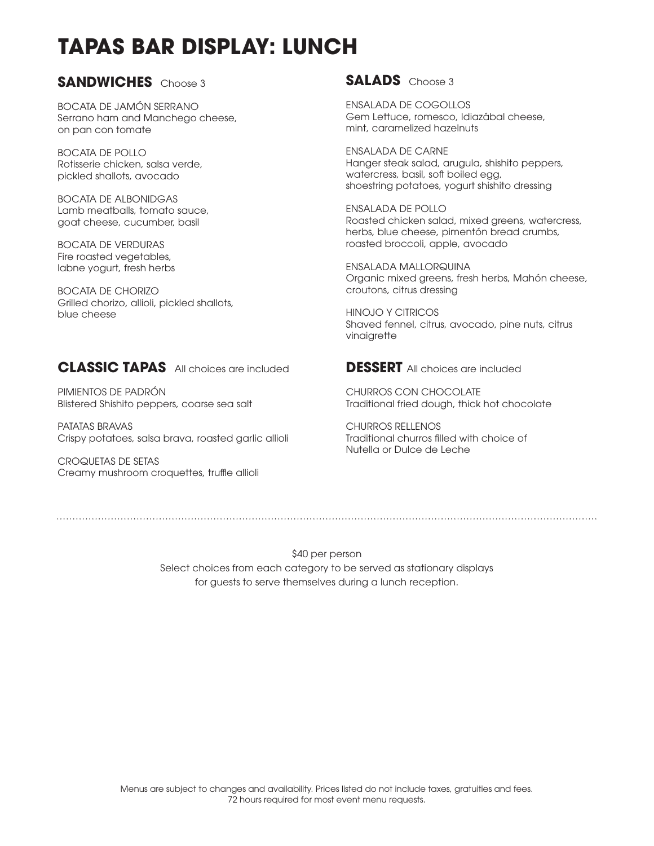# **TAPAS BAR DISPLAY: LUNCH**

### **SANDWICHES** Choose 3

BOCATA DE JAMÓN SERRANO Serrano ham and Manchego cheese, on pan con tomate

BOCATA DE POLLO Rotisserie chicken, salsa verde, pickled shallots, avocado

BOCATA DE ALBONIDGAS Lamb meatballs, tomato sauce, goat cheese, cucumber, basil

BOCATA DE VERDURAS Fire roasted vegetables, labne yogurt, fresh herbs

BOCATA DE CHORIZO Grilled chorizo, allioli, pickled shallots, blue cheese

### **CLASSIC TAPAS** All choices are included

PIMIENTOS DE PADRÓN Blistered Shishito peppers, coarse sea salt

PATATAS BRAVAS Crispy potatoes, salsa brava, roasted garlic allioli

CROQUETAS DE SETAS Creamy mushroom croquettes, truffle allioli

### **SALADS** Choose 3

ENSALADA DE COGOLLOS Gem Lettuce, romesco, Idiazábal cheese, mint, caramelized hazelnuts

ENSALADA DE CARNE Hanger steak salad, arugula, shishito peppers, watercress, basil, soft boiled egg, shoestring potatoes, yogurt shishito dressing

ENSALADA DE POLLO Roasted chicken salad, mixed greens, watercress, herbs, blue cheese, pimentón bread crumbs, roasted broccoli, apple, avocado

ENSALADA MALLORQUINA Organic mixed greens, fresh herbs, Mahón cheese, croutons, citrus dressing

HINOJO Y CITRICOS Shaved fennel, citrus, avocado, pine nuts, citrus vinaigrette

**DESSERT** All choices are included

CHURROS CON CHOCOLATE Traditional fried dough, thick hot chocolate

CHURROS RELLENOS Traditional churros filled with choice of Nutella or Dulce de Leche

\$40 per person Select choices from each category to be served as stationary displays for guests to serve themselves during a lunch reception.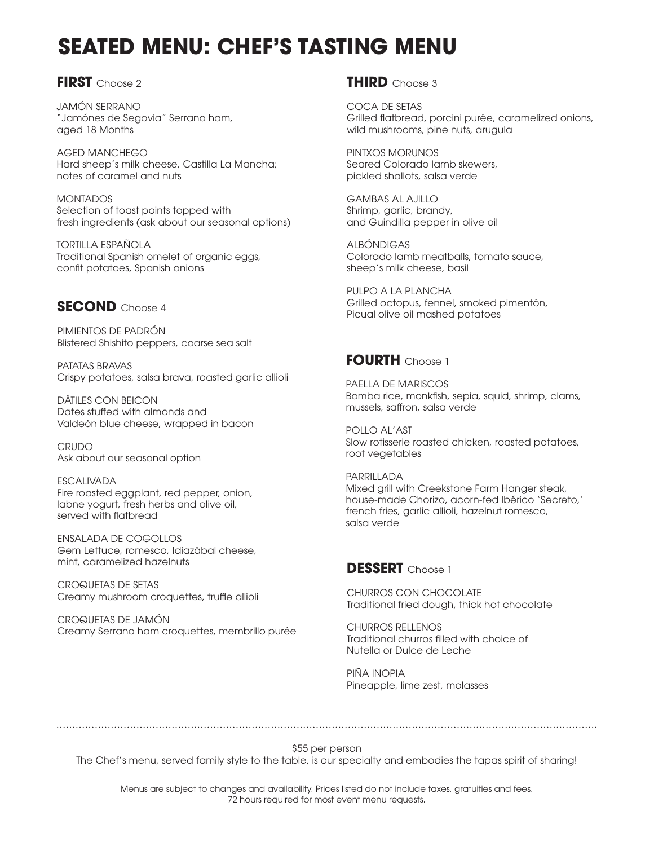# **SEATED MENU: CHEF'S TASTING MENU**

### **FIRST** Choose 2

JAMÓN SERRANO "Jamónes de Segovia" Serrano ham, aged 18 Months

AGED MANCHEGO Hard sheep's milk cheese, Castilla La Mancha; notes of caramel and nuts

MONTADOS Selection of toast points topped with fresh ingredients (ask about our seasonal options)

TORTILLA ESPAÑOLA Traditional Spanish omelet of organic eggs, confit potatoes, Spanish onions

### **SECOND** Choose 4

PIMIENTOS DE PADRÓN Blistered Shishito peppers, coarse sea salt

PATATAS BRAVAS Crispy potatoes, salsa brava, roasted garlic allioli

DÁTILES CON BEICON Dates stuffed with almonds and Valdeón blue cheese, wrapped in bacon

CRUDO Ask about our seasonal option

ESCALIVADA Fire roasted eggplant, red pepper, onion, labne yogurt, fresh herbs and olive oil, served with flatbread

ENSALADA DE COGOLLOS Gem Lettuce, romesco, Idiazábal cheese, mint, caramelized hazelnuts

CROQUETAS DE SETAS Creamy mushroom croquettes, truffle allioli

CROQUETAS DE JAMÓN Creamy Serrano ham croquettes, membrillo purée

### **THIRD** Choose 3

COCA DE SETAS Grilled flatbread, porcini purée, caramelized onions, wild mushrooms, pine nuts, arugula

PINTXOS MORUNOS Seared Colorado lamb skewers, pickled shallots, salsa verde

GAMBAS AL AJILLO Shrimp, garlic, brandy, and Guindilla pepper in olive oil

ALBÓNDIGAS Colorado lamb meatballs, tomato sauce, sheep's milk cheese, basil

PULPO A LA PLANCHA Grilled octopus, fennel, smoked pimentón, Picual olive oil mashed potatoes

### **FOURTH** Choose 1

PAELLA DE MARISCOS Bomba rice, monkfish, sepia, squid, shrimp, clams, mussels, saffron, salsa verde

POLLO AL'AST Slow rotisserie roasted chicken, roasted potatoes, root vegetables

PARRILLADA Mixed arill with Creekstone Farm Hanger steak, house-made Chorizo, acorn-fed Ibérico 'Secreto,' french fries, garlic allioli, hazelnut romesco, salsa verde

### **DESSERT** Choose 1

CHURROS CON CHOCOLATE Traditional fried dough, thick hot chocolate

CHURROS RELLENOS Traditional churros filled with choice of Nutella or Dulce de Leche

PIÑA INOPIA Pineapple, lime zest, molasses

\$55 per person

The Chef's menu, served family style to the table, is our specialty and embodies the tapas spirit of sharing!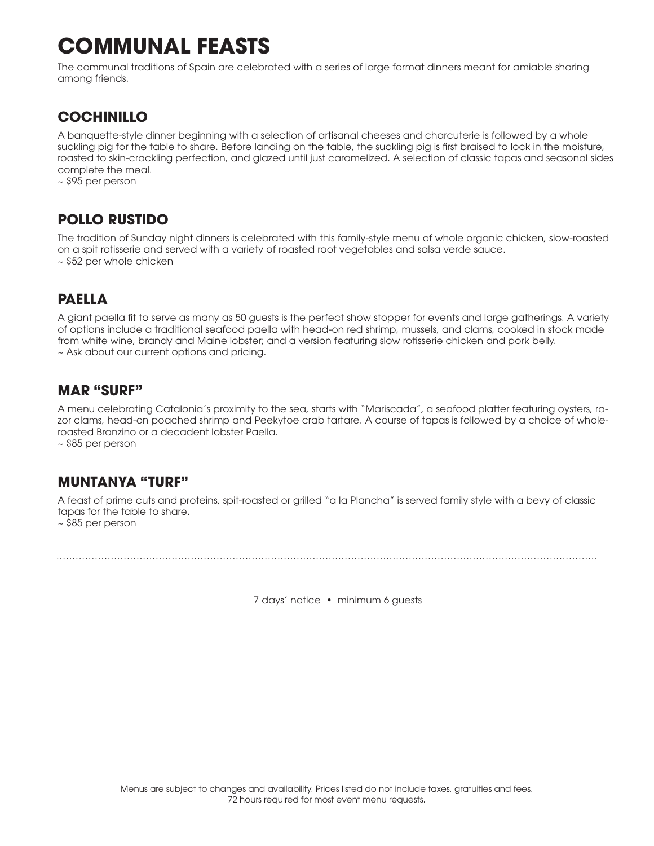# **COMMUNAL FEASTS**

The communal traditions of Spain are celebrated with a series of large format dinners meant for amiable sharing among friends.

# **COCHINILLO**

A banquette-style dinner beginning with a selection of artisanal cheeses and charcuterie is followed by a whole suckling pig for the table to share. Before landing on the table, the suckling pig is first braised to lock in the moisture, roasted to skin-crackling perfection, and glazed until just caramelized. A selection of classic tapas and seasonal sides complete the meal.

~ \$95 per person

### **POLLO RUSTIDO**

The tradition of Sunday night dinners is celebrated with this family-style menu of whole organic chicken, slow-roasted on a spit rotisserie and served with a variety of roasted root vegetables and salsa verde sauce. ~ \$52 per whole chicken

## **PAELLA**

A giant paella fit to serve as many as 50 guests is the perfect show stopper for events and large gatherings. A variety of options include a traditional seafood paella with head-on red shrimp, mussels, and clams, cooked in stock made from white wine, brandy and Maine lobster; and a version featuring slow rotisserie chicken and pork belly. ~ Ask about our current options and pricing.

### **MAR "SURF"**

A menu celebrating Catalonia's proximity to the sea, starts with "Mariscada", a seafood platter featuring oysters, razor clams, head-on poached shrimp and Peekytoe crab tartare. A course of tapas is followed by a choice of wholeroasted Branzino or a decadent lobster Paella.

~ \$85 per person

### **MUNTANYA "TURF"**

A feast of prime cuts and proteins, spit-roasted or grilled "a la Plancha" is served family style with a bevy of classic tapas for the table to share. ~ \$85 per person

7 days' notice • minimum 6 guests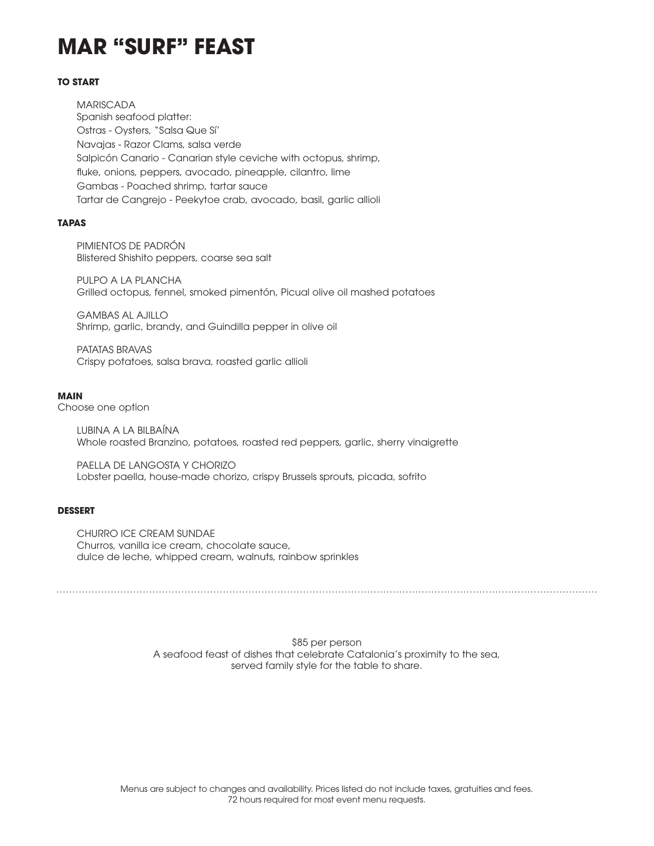# **MAR "SURF" FEAST**

#### **TO START**

MARISCADA Spanish seafood platter: Ostras - Oysters, "Salsa Que Sí' Navajas - Razor Clams, salsa verde Salpicón Canario - Canarian style ceviche with octopus, shrimp, fluke, onions, peppers, avocado, pineapple, cilantro, lime Gambas - Poached shrimp, tartar sauce Tartar de Cangrejo - Peekytoe crab, avocado, basil, garlic allioli

#### **TAPAS**

PIMIENTOS DE PADRÓN Blistered Shishito peppers, coarse sea salt

PULPO A LA PLANCHA Grilled octopus, fennel, smoked pimentón, Picual olive oil mashed potatoes

GAMBAS AL AJILLO Shrimp, garlic, brandy, and Guindilla pepper in olive oil

PATATAS BRAVAS Crispy potatoes, salsa brava, roasted garlic allioli

#### **MAIN**

Choose one option

LUBINA A LA BILBAÍNA Whole roasted Branzino, potatoes, roasted red peppers, garlic, sherry vinaigrette

PAELLA DE LANGOSTA Y CHORIZO Lobster paella, house-made chorizo, crispy Brussels sprouts, picada, sofrito

#### **DESSERT**

CHURRO ICE CREAM SUNDAE Churros, vanilla ice cream, chocolate sauce, dulce de leche, whipped cream, walnuts, rainbow sprinkles

> \$85 per person A seafood feast of dishes that celebrate Catalonia's proximity to the sea, served family style for the table to share.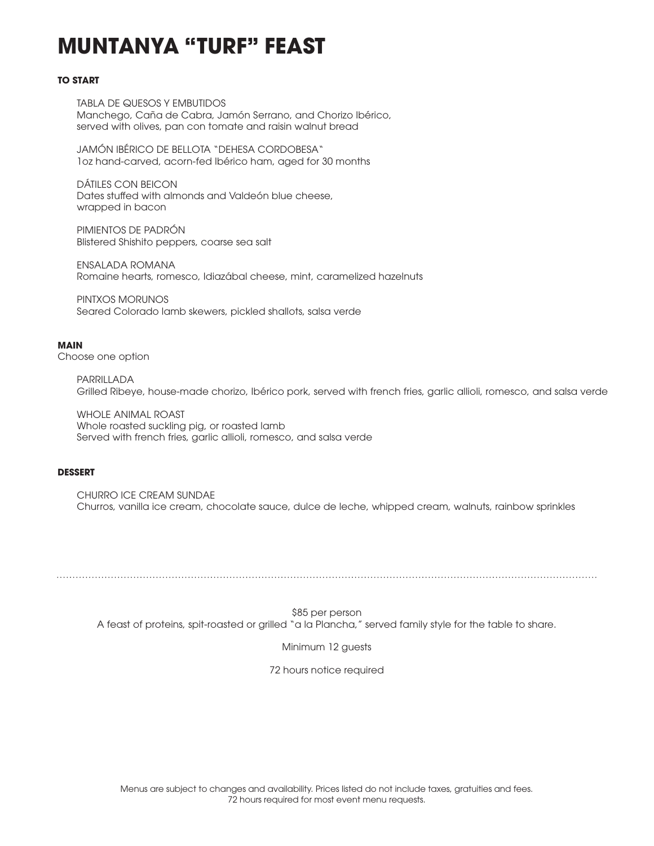# **MUNTANYA "TURF" FEAST**

#### **TO START**

TABLA DE QUESOS Y EMBUTIDOS Manchego, Caña de Cabra, Jamón Serrano, and Chorizo Ibérico, served with olives, pan con tomate and raisin walnut bread

JAMÓN IBÉRICO DE BELLOTA "DEHESA CORDOBESA" 1oz hand-carved, acorn-fed Ibérico ham, aged for 30 months

DÁTILES CON BEICON Dates stuffed with almonds and Valdeón blue cheese, wrapped in bacon

PIMIENTOS DE PADRÓN Blistered Shishito peppers, coarse sea salt

ENSALADA ROMANA Romaine hearts, romesco, Idiazábal cheese, mint, caramelized hazelnuts

PINTXOS MORUNOS Seared Colorado lamb skewers, pickled shallots, salsa verde

#### **MAIN**

Choose one option

PARRILLADA Grilled Ribeye, house-made chorizo, Ibérico pork, served with french fries, garlic allioli, romesco, and salsa verde

WHOLE ANIMAL ROAST Whole roasted suckling pig, or roasted lamb Served with french fries, garlic allioli, romesco, and salsa verde

#### **DESSERT**

CHURRO ICE CREAM SUNDAE Churros, vanilla ice cream, chocolate sauce, dulce de leche, whipped cream, walnuts, rainbow sprinkles

\$85 per person A feast of proteins, spit-roasted or grilled "a la Plancha," served family style for the table to share.

Minimum 12 guests

72 hours notice required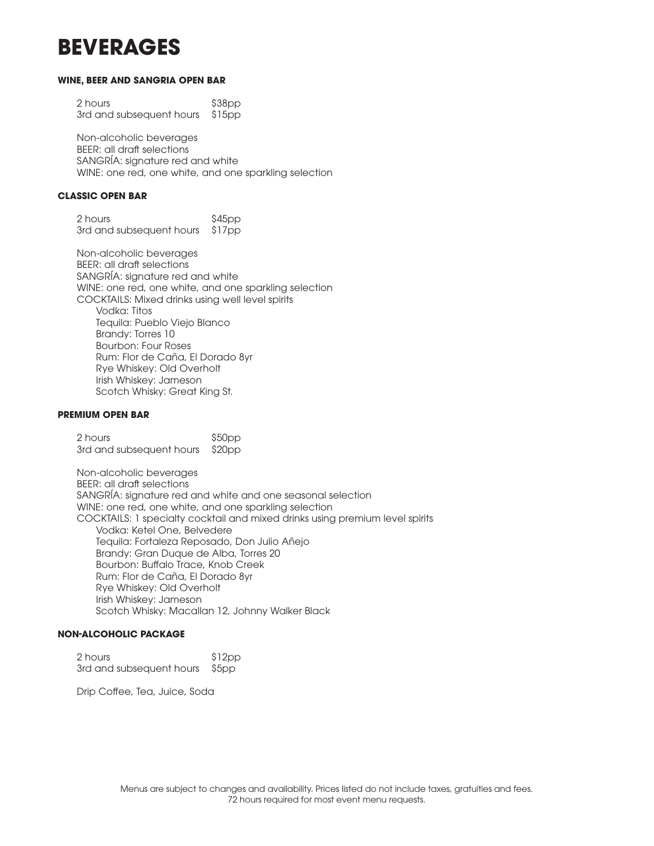# **BEVERAGES**

#### **WINE, BEER AND SANGRIA OPEN BAR**

2 hours \$38pp 3rd and subsequent hours \$15pp

Non-alcoholic beverages BEER: all draft selections SANGRÍA: signature red and white WINE: one red, one white, and one sparkling selection

#### **CLASSIC OPEN BAR**

2 hours \$45pp 3rd and subsequent hours \$17pp

Non-alcoholic beverages BEER: all draft selections SANGRÍA: signature red and white WINE: one red, one white, and one sparkling selection COCKTAILS: Mixed drinks using well level spirits Vodka: Titos Tequila: Pueblo Viejo Blanco Brandy: Torres 10 Bourbon: Four Roses Rum: Flor de Caña, El Dorado 8yr Rye Whiskey: Old Overholt Irish Whiskey: Jameson Scotch Whisky: Great King St.

#### **PREMIUM OPEN BAR**

2 hours \$50pp 3rd and subsequent hours \$20pp

Non-alcoholic beverages BEER: all draft selections SANGRÍA: signature red and white and one seasonal selection WINE: one red, one white, and one sparkling selection COCKTAILS: 1 specialty cocktail and mixed drinks using premium level spirits Vodka: Ketel One, Belvedere Tequila: Fortaleza Reposado, Don Julio Añejo Brandy: Gran Duque de Alba, Torres 20 Bourbon: Buffalo Trace, Knob Creek Rum: Flor de Caña, El Dorado 8yr Rye Whiskey: Old Overholt Irish Whiskey: Jameson Scotch Whisky: Macallan 12, Johnny Walker Black

### **NON-ALCOHOLIC PACKAGE**

2 hours \$12pp 3rd and subsequent hours \$5pp

Drip Coffee, Tea, Juice, Soda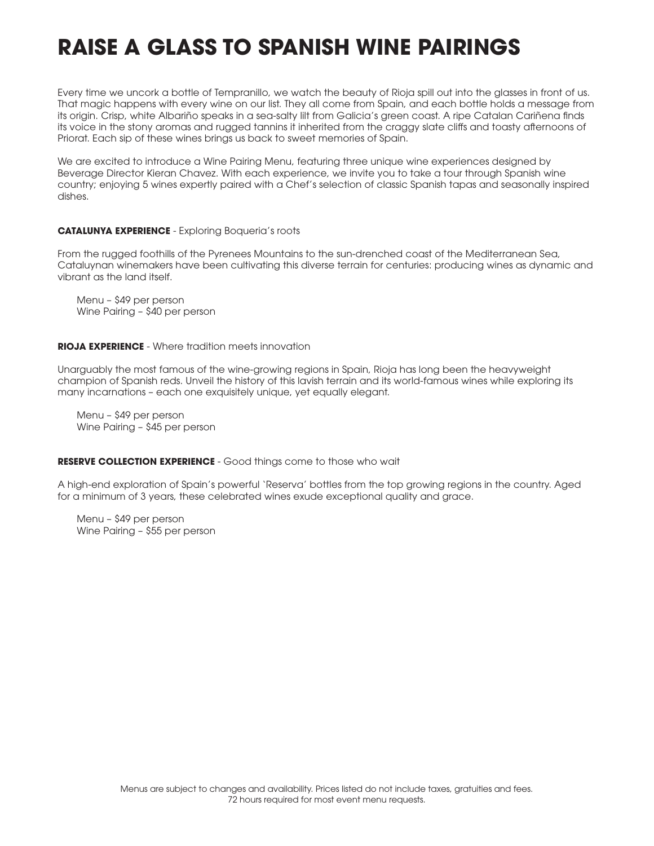# **RAISE A GLASS TO SPANISH WINE PAIRINGS**

Every time we uncork a bottle of Tempranillo, we watch the beauty of Rioja spill out into the glasses in front of us. That magic happens with every wine on our list. They all come from Spain, and each bottle holds a message from its origin. Crisp, white Albariño speaks in a sea-salty lilt from Galicia's green coast. A ripe Catalan Cariñena finds its voice in the stony aromas and rugged tannins it inherited from the craggy slate cliffs and toasty afternoons of Priorat. Each sip of these wines brings us back to sweet memories of Spain.

We are excited to introduce a Wine Pairing Menu, featuring three unique wine experiences designed by Beverage Director Kieran Chavez. With each experience, we invite you to take a tour through Spanish wine country; enjoying 5 wines expertly paired with a Chef's selection of classic Spanish tapas and seasonally inspired dishes.

#### **CATALUNYA EXPERIENCE** - Exploring Boqueria's roots

From the rugged foothills of the Pyrenees Mountains to the sun-drenched coast of the Mediterranean Sea, Cataluynan winemakers have been cultivating this diverse terrain for centuries: producing wines as dynamic and vibrant as the land itself.

Menu – \$49 per person Wine Pairing – \$40 per person

#### **RIOJA EXPERIENCE** - Where tradition meets innovation

Unarguably the most famous of the wine-growing regions in Spain, Rioja has long been the heavyweight champion of Spanish reds. Unveil the history of this lavish terrain and its world-famous wines while exploring its many incarnations – each one exquisitely unique, yet equally elegant.

Menu – \$49 per person Wine Pairing – \$45 per person

### **RESERVE COLLECTION EXPERIENCE** - Good things come to those who wait

A high-end exploration of Spain's powerful 'Reserva' bottles from the top growing regions in the country. Aged for a minimum of 3 years, these celebrated wines exude exceptional quality and grace.

Menu – \$49 per person Wine Pairing – \$55 per person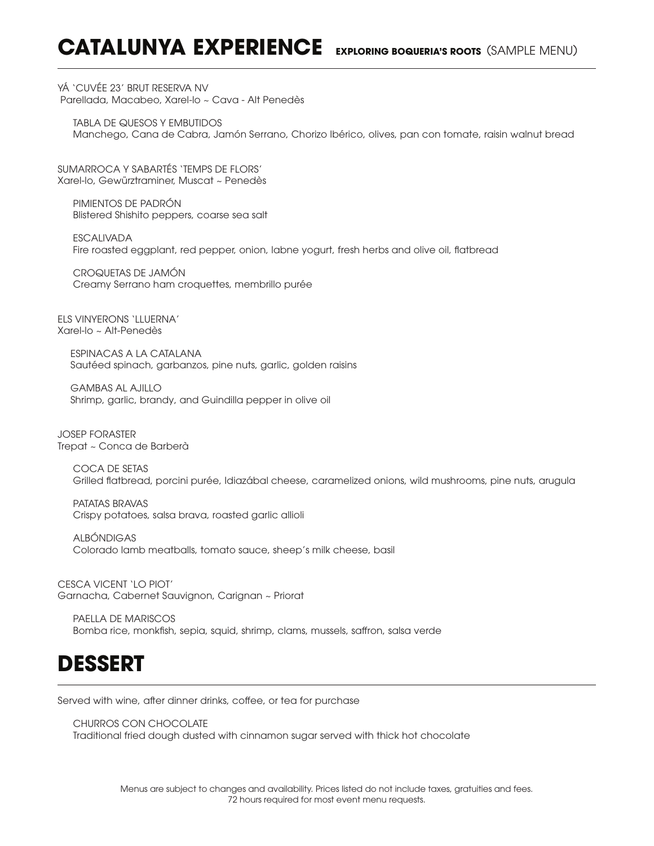# **CATALUNYA EXPERIENCE EXPLORING BOQUERIA'S ROOTS** (SAMPLE MENU)

YÁ 'CUVÉE 23' BRUT RESERVA NV Parellada, Macabeo, Xarel-lo ~ Cava - Alt Penedès

TABLA DE QUESOS Y EMBUTIDOS Manchego, Cana de Cabra, Jamón Serrano, Chorizo Ibérico, olives, pan con tomate, raisin walnut bread

SUMARROCA Y SABARTÉS 'TEMPS DE FLORS' Xarel-lo, Gewürztraminer, Muscat ~ Penedès

PIMIENTOS DE PADRÓN Blistered Shishito peppers, coarse sea salt

ESCALIVADA Fire roasted eggplant, red pepper, onion, labne yogurt, fresh herbs and olive oil, flatbread

CROQUETAS DE JAMÓN Creamy Serrano ham croquettes, membrillo purée

ELS VINYERONS 'LLUERNA' Xarel-lo ~ Alt-Penedès

> ESPINACAS A LA CATALANA Sautéed spinach, garbanzos, pine nuts, garlic, golden raisins

GAMBAS AL AJILLO Shrimp, garlic, brandy, and Guindilla pepper in olive oil

JOSEP FORASTER Trepat ~ Conca de Barberà

> COCA DE SETAS Grilled flatbread, porcini purée, Idiazábal cheese, caramelized onions, wild mushrooms, pine nuts, arugula

PATATAS BRAVAS Crispy potatoes, salsa brava, roasted garlic allioli

ALBÓNDIGAS Colorado lamb meatballs, tomato sauce, sheep's milk cheese, basil

CESCA VICENT 'LO PIOT' Garnacha, Cabernet Sauvignon, Carignan ~ Priorat

PAELLA DE MARISCOS Bomba rice, monkfish, sepia, squid, shrimp, clams, mussels, saffron, salsa verde

# **DESSERT**

Served with wine, after dinner drinks, coffee, or tea for purchase

CHURROS CON CHOCOLATE Traditional fried dough dusted with cinnamon sugar served with thick hot chocolate